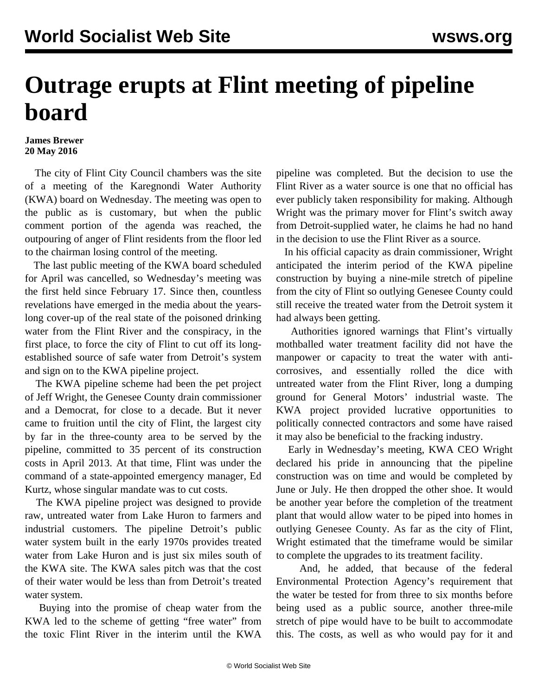## **Outrage erupts at Flint meeting of pipeline board**

## **James Brewer 20 May 2016**

 The city of Flint City Council chambers was the site of a meeting of the Karegnondi Water Authority (KWA) board on Wednesday. The meeting was open to the public as is customary, but when the public comment portion of the agenda was reached, the outpouring of anger of Flint residents from the floor led to the chairman losing control of the meeting.

 The last public meeting of the KWA board scheduled for April was cancelled, so Wednesday's meeting was the first held since February 17. Since then, countless revelations have emerged in the media about the yearslong cover-up of the real state of the poisoned drinking water from the Flint River and the conspiracy, in the first place, to force the city of Flint to cut off its longestablished source of safe water from Detroit's system and sign on to the KWA pipeline project.

 The KWA pipeline scheme had been the pet project of Jeff Wright, the Genesee County drain commissioner and a Democrat, for close to a decade. But it never came to fruition until the city of Flint, the largest city by far in the three-county area to be served by the pipeline, committed to 35 percent of its construction costs in April 2013. At that time, Flint was under the command of a state-appointed emergency manager, Ed Kurtz, whose singular mandate was to cut costs.

 The KWA pipeline project was designed to provide raw, untreated water from Lake Huron to farmers and industrial customers. The pipeline Detroit's public water system built in the early 1970s provides treated water from Lake Huron and is just six miles south of the KWA site. The KWA sales pitch was that the cost of their water would be less than from Detroit's treated water system.

 Buying into the promise of cheap water from the KWA led to the scheme of getting "free water" from the toxic Flint River in the interim until the KWA

pipeline was completed. But the decision to use the Flint River as a water source is one that no official has ever publicly taken responsibility for making. Although Wright was the primary mover for Flint's switch away from Detroit-supplied water, he claims he had no hand in the decision to use the Flint River as a source.

 In his official capacity as drain commissioner, Wright anticipated the interim period of the KWA pipeline construction by buying a nine-mile stretch of pipeline from the city of Flint so outlying Genesee County could still receive the treated water from the Detroit system it had always been getting.

 Authorities ignored warnings that Flint's virtually mothballed water treatment facility did not have the manpower or capacity to treat the water with anticorrosives, and essentially rolled the dice with untreated water from the Flint River, long a dumping ground for General Motors' industrial waste. The KWA project provided lucrative opportunities to politically connected contractors and some have raised it may also be beneficial to the fracking industry.

 Early in Wednesday's meeting, KWA CEO Wright declared his pride in announcing that the pipeline construction was on time and would be completed by June or July. He then dropped the other shoe. It would be another year before the completion of the treatment plant that would allow water to be piped into homes in outlying Genesee County. As far as the city of Flint, Wright estimated that the timeframe would be similar to complete the upgrades to its treatment facility.

 And, he added, that because of the federal Environmental Protection Agency's requirement that the water be tested for from three to six months before being used as a public source, another three-mile stretch of pipe would have to be built to accommodate this. The costs, as well as who would pay for it and